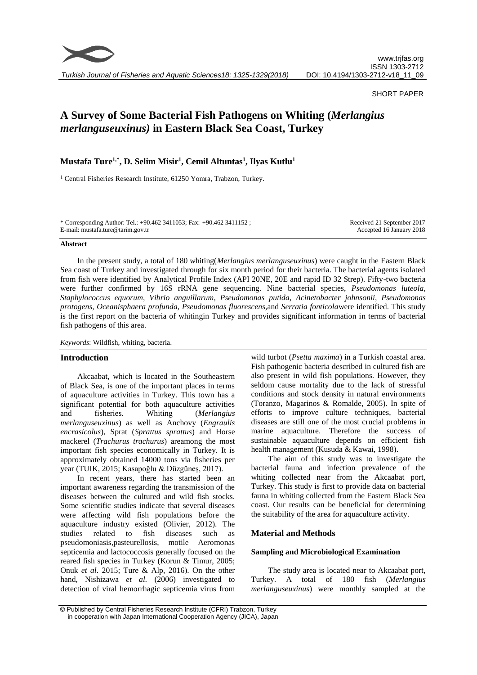

*Turkish Journal of Fisheries and Aquatic Sciences18: 1325-1329(2018)*

#### SHORT PAPER

# **A Survey of Some Bacterial Fish Pathogens on Whiting (***Merlangius merlanguseuxinus)* **in Eastern Black Sea Coast, Turkey**

# **Mustafa Ture1,\* , D. Selim Misir 1 , Cemil Altuntas<sup>1</sup> , Ilyas Kutlu<sup>1</sup>**

<sup>1</sup> Central Fisheries Research Institute, 61250 Yomra, Trabzon, Turkey.

\* Corresponding Author: Tel.: +90.462 3411053; Fax: +90.462 3411152 ; E-mail: mustafa.ture@tarim.gov.tr

Received 21 September 2017 Accepted 16 January 2018

#### **Abstract**

In the present study, a total of 180 whiting(*Merlangius merlanguseuxinus*) were caught in the Eastern Black Sea coast of Turkey and investigated through for six month period for their bacteria. The bacterial agents isolated from fish were identified by Analytical Profile Index (API 20NE, 20E and rapid ID 32 Strep). Fifty-two bacteria were further confirmed by 16S rRNA gene sequencing. Nine bacterial species, *Pseudomonas luteola, Staphylococcus equorum, Vibrio anguillarum, Pseudomonas putida, Acinetobacter johnsonii, Pseudomonas protogens, Oceanisphaera profunda, Pseudomonas fluorescens,*and *Serratia fonticola*were identified. This study is the first report on the bacteria of whitingin Turkey and provides significant information in terms of bacterial fish pathogens of this area.

*Keywords*: Wildfish, whiting, bacteria.

#### **Introduction**

Akcaabat, which is located in the Southeastern of Black Sea, is one of the important places in terms of aquaculture activities in Turkey. This town has a significant potential for both aquaculture activities and fisheries. Whiting (*Merlangius merlanguseuxinus*) as well as Anchovy (*Engraulis encrasicolus*), Sprat (*Sprattus sprattus*) and Horse mackerel (*Trachurus trachurus*) areamong the most important fish species economically in Turkey. It is approximately obtained 14000 tons via fisheries per year (TUIK, 2015; Kasapoğlu & Düzgüneş, 2017).

In recent years, there has started been an important awareness regarding the transmission of the diseases between the cultured and wild fish stocks. Some scientific studies indicate that several diseases were affecting wild fish populations before the aquaculture industry existed (Olivier, 2012). The studies related to fish diseases such as pseudomoniasis,pasteurellosis, motile Aeromonas septicemia and lactococcosis generally focused on the reared fish species in Turkey (Korun & Timur, 2005; Onuk *et al*. 2015; Ture & Alp, 2016). On the other hand, Nishizawa *et al.* (2006) investigated to detection of viral hemorrhagic septicemia virus from

wild turbot (*Psetta maxima*) in a Turkish coastal area. Fish pathogenic bacteria described in cultured fish are also present in wild fish populations. However, they seldom cause mortality due to the lack of stressful conditions and stock density in natural environments (Toranzo, Magarinos & Romalde, 2005). In spite of efforts to improve culture techniques, bacterial diseases are still one of the most crucial problems in marine aquaculture. Therefore the success of sustainable aquaculture depends on efficient fish health management (Kusuda & Kawai, 1998).

The aim of this study was to investigate the bacterial fauna and infection prevalence of the whiting collected near from the Akcaabat port, Turkey. This study is first to provide data on bacterial fauna in whiting collected from the Eastern Black Sea coast. Our results can be beneficial for determining the suitability of the area for aquaculture activity.

# **Material and Methods**

#### **Sampling and Microbiological Examination**

The study area is located near to Akcaabat port, Turkey. A total of 180 fish (*Merlangius merlanguseuxinus*) were monthly sampled at the

© Published by Central Fisheries Research Institute (CFRI) Trabzon, Turkey in cooperation with Japan International Cooperation Agency (JICA), Japan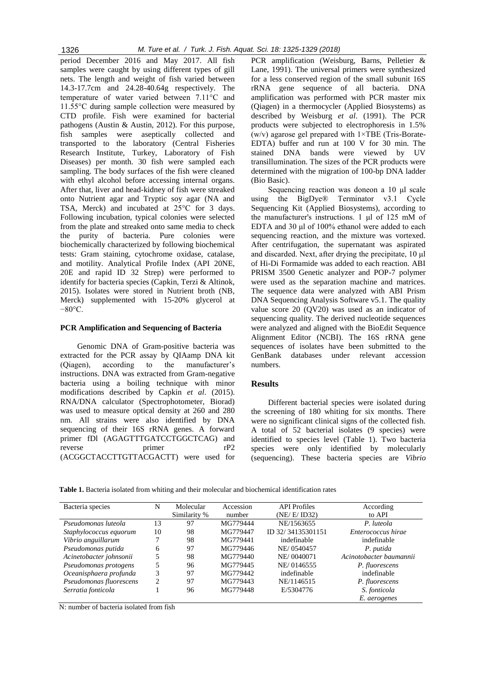period December 2016 and May 2017. All fish samples were caught by using different types of gill nets. The length and weight of fish varied between 14.3-17.7cm and 24.28-40.64g respectively. The temperature of water varied between 7.11°C and 11.55°C during sample collection were measured by CTD profile. Fish were examined for bacterial pathogens (Austin & Austin, 2012). For this purpose, fish samples were aseptically collected and transported to the laboratory (Central Fisheries Research Institute, Turkey, Laboratory of Fish Diseases) per month. 30 fish were sampled each sampling. The body surfaces of the fish were cleaned with ethyl alcohol before accessing internal organs. After that, liver and head-kidney of fish were streaked onto Nutrient agar and Tryptic soy agar (NA and TSA, Merck) and incubated at 25°C for 3 days. Following incubation, typical colonies were selected from the plate and streaked onto same media to check the purity of bacteria. Pure colonies were biochemically characterized by following biochemical tests: Gram staining, cytochrome oxidase, catalase, and motility. Analytical Profile Index (API 20NE, 20E and rapid ID 32 Strep) were performed to identify for bacteria species (Capkin, Terzi & Altinok, 2015). Isolates were stored in Nutrient broth (NB, Merck) supplemented with 15-20% glycerol at −80°C.

#### **PCR Amplification and Sequencing of Bacteria**

Genomic DNA of Gram-positive bacteria was extracted for the PCR assay by QIAamp DNA kit (Qiagen), according to the manufacturer's instructions. DNA was extracted from Gram-negative bacteria using a boiling technique with minor modifications described by Capkin *et al*. (2015). RNA/DNA calculator (Spectrophotometer, Biorad) was used to measure optical density at 260 and 280 nm. All strains were also identified by DNA sequencing of their 16S rRNA genes. A forward primer fDl (AGAGTTTGATCCTGGCTCAG) and reverse primer rP2 (ACGGCTACCTTGTTACGACTT) were used for PCR amplification (Weisburg, Barns, Pelletier & Lane, 1991). The universal primers were synthesized for a less conserved region of the small subunit 16S rRNA gene sequence of all bacteria. DNA amplification was performed with PCR master mix (Qiagen) in a thermocycler (Applied Biosystems) as described by Weisburg *et al*. (1991). The PCR products were subjected to electrophoresis in 1.5% (w/v) agarose gel prepared with 1×TBE (Tris-Borate-EDTA) buffer and run at 100 V for 30 min. The stained DNA bands were viewed by UV transillumination. The sizes of the PCR products were determined with the migration of 100-bp DNA ladder (Bio Basic).

Sequencing reaction was doneon a 10 μl scale using the BigDye® Terminator v3.1 Cycle Sequencing Kit (Applied Biosystems), according to the manufacturer's instructions. 1 μl of 125 mM of EDTA and 30 μl of 100% ethanol were added to each sequencing reaction, and the mixture was vortexed. After centrifugation, the supernatant was aspirated and discarded. Next, after drying the precipitate, 10 μl of Hi-Di Formamide was added to each reaction. ABI PRISM 3500 Genetic analyzer and POP-7 polymer were used as the separation machine and matrices. The sequence data were analyzed with ABI Prism DNA Sequencing Analysis Software v5.1. The quality value score 20 (QV20) was used as an indicator of sequencing quality. The derived nucleotide sequences were analyzed and aligned with the BioEdit Sequence Alignment Editor (NCBI). The 16S rRNA gene sequences of isolates have been submitted to the GenBank databases under relevant accession numbers.

## **Results**

Different bacterial species were isolated during the screening of 180 whiting for six months. There were no significant clinical signs of the collected fish. A total of 52 bacterial isolates (9 species) were identified to species level (Table 1). Two bacteria species were only identified by molecularly (sequencing). These bacteria species are *Vibrio* 

**Table 1.** Bacteria isolated from whiting and their molecular and biochemical identification rates

| Bacteria species        | N  | Molecular    | Accession | <b>API</b> Profiles | According               |  |
|-------------------------|----|--------------|-----------|---------------------|-------------------------|--|
|                         |    | Similarity % | number    | (NE/E/ID32)         | to API                  |  |
| Pseudomonas luteola     | 13 | 97           | MG779444  | NE/1563655          | P. luteola              |  |
| Staphylococcus equorum  | 10 | 98           | MG779447  | ID 32/34135301151   | Enterococcus hirae      |  |
| Vibrio anguillarum      |    | 98           | MG779441  | indefinable         | indefinable             |  |
| Pseudomonas putida      | 6  | 97           | MG779446  | NE/0540457          | P. putida               |  |
| Acinetobacter johnsonii |    | 98           | MG779440  | NE/0040071          | Acinotobacter baumannii |  |
| Pseudomonas protogens   | 5  | 96           | MG779445  | NE/0146555          | P. fluorescens          |  |
| Oceanisphaera profunda  | 3  | 97           | MG779442  | indefinable         | indefinable             |  |
| Pseudomonas fluorescens | 2  | 97           | MG779443  | NE/1146515          | P. fluorescens          |  |
| Serratia fonticola      |    | 96           | MG779448  | E/5304776           | S. fonticola            |  |
|                         |    |              |           |                     | E. aerogenes            |  |

N: number of bacteria isolated from fish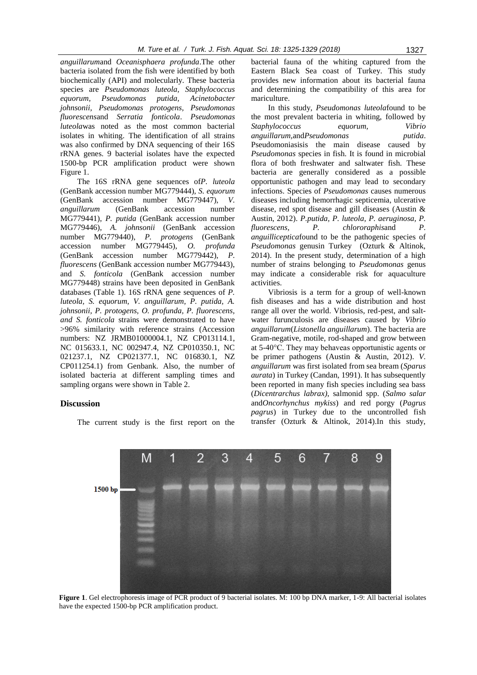*anguillarum*and *Oceanisphaera profunda*.The other bacteria isolated from the fish were identified by both biochemically (API) and molecularly. These bacteria species are *Pseudomonas luteola, Staphylococcus equorum, Pseudomonas putida, Acinetobacter johnsonii, Pseudomonas protogens, Pseudomonas fluorescens*and *Serratia fonticola*. *Pseudomonas luteola*was noted as the most common bacterial isolates in whiting. The identification of all strains was also confirmed by DNA sequencing of their 16S rRNA genes. 9 bacterial isolates have the expected 1500-bp PCR amplification product were shown Figure 1.

The 16S rRNA gene sequences of*P. luteola* (GenBank accession number MG779444), *S. equorum* (GenBank accession number MG779447), *V. anguillarum* (GenBank accession number MG779441), *P. putida* (GenBank accession number MG779446), *A. johnsonii* (GenBank accession number MG779440), *P. protogens* (GenBank accession number MG779445), *O. profunda* (GenBank accession number MG779442), *P. fluorescens* (GenBank accession number MG779443), and *S. fonticola* (GenBank accession number MG779448) strains have been deposited in GenBank databases (Table 1). 16S rRNA gene sequences of *P. luteola, S. equorum, V. anguillarum, P. putida, A. johnsonii, P. protogens, O. profunda, P. fluorescens, and S. fonticola* strains were demonstrated to have >96% similarity with reference strains (Accession numbers: NZ JRMB01000004.1, NZ CP013114.1, NC 015633.1, NC 002947.4, NZ CP010350.1, NC 021237.1, NZ CP021377.1, NC 016830.1, NZ CP011254.1) from Genbank. Also, the number of isolated bacteria at different sampling times and sampling organs were shown in Table 2.

#### **Discussion**

The current study is the first report on the

bacterial fauna of the whiting captured from the Eastern Black Sea coast of Turkey. This study provides new information about its bacterial fauna and determining the compatibility of this area for mariculture.

In this study, *Pseudomonas luteola*found to be the most prevalent bacteria in whiting, followed by *Staphylococcus equorum, Vibrio*   $angularum$ , and *Pseudomonas* Pseudomoniasisis the main disease caused by *Pseudomonas* species in fish. It is found in microbial flora of both freshwater and saltwater fish. These bacteria are generally considered as a possible opportunistic pathogen and may lead to secondary infections. Species of *Pseudomonas* causes numerous diseases including hemorrhagic septicemia, ulcerative disease, red spot disease and gill diseases (Austin & Austin, 2012). *P.putida, P. luteola, P. aeruginosa, P. fluorescens, P. chlororaphis*and *P. anguilliceptica*found to be the pathogenic species of *Pseudomonas* genusin Turkey (Ozturk & Altinok, 2014). In the present study, determination of a high number of strains belonging to *Pseudomonas* genus may indicate a considerable risk for aquaculture activities.

Vibriosis is a term for a group of well-known fish diseases and has a wide distribution and host range all over the world. Vibriosis, red-pest, and saltwater furunculosis are diseases caused by *Vibrio anguillarum*(*Listonella anguillarum*). The bacteria are Gram-negative, motile, rod-shaped and grow between at 5-40°C. They may behaveas opportunistic agents or be primer pathogens (Austin & Austin, 2012). *V. anguillarum* was first isolated from sea bream (*Sparus aurata*) in Turkey (Candan, 1991). It has subsequently been reported in many fish species including sea bass (*Dicentrarchus labrax)*, salmonid spp. (*Salmo salar*  and*Oncorhynchus mykiss*) and red porgy (*Pagrus pagrus*) in Turkey due to the uncontrolled fish transfer (Ozturk & Altinok, 2014).In this study,



**Figure 1**. Gel electrophoresis image of PCR product of 9 bacterial isolates. M: 100 bp DNA marker, 1-9: All bacterial isolates have the expected 1500-bp PCR amplification product.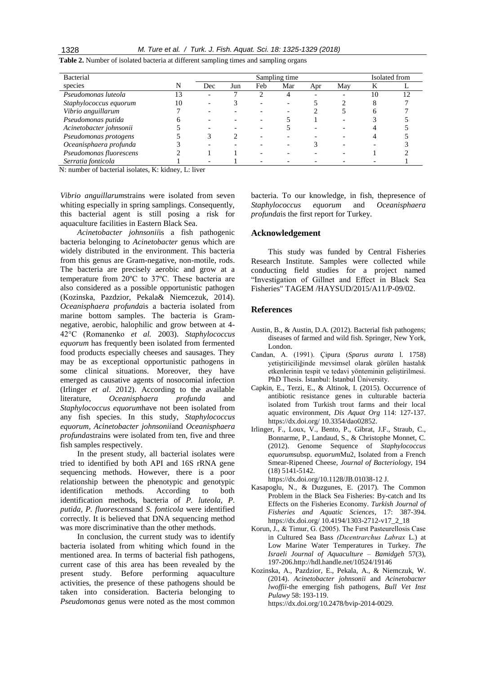| <b>Bacterial</b>        |    | Sampling time |     |     |     |     |     |    | Isolated from |  |
|-------------------------|----|---------------|-----|-----|-----|-----|-----|----|---------------|--|
| species                 | N  | Dec           | Jun | Feb | Mar | Apr | May | K  |               |  |
| Pseudomonas luteola     | 13 |               |     |     |     |     |     | 10 | 12            |  |
| Staphylococcus equorum  | 10 |               |     |     |     |     |     |    |               |  |
| Vibrio anguillarum      |    |               |     |     |     |     |     |    |               |  |
| Pseudomonas putida      |    |               |     |     |     |     |     |    |               |  |
| Acinetobacter johnsonii |    |               |     |     |     |     |     |    |               |  |
| Pseudomonas protogens   |    |               |     |     |     |     |     |    |               |  |
| Oceanisphaera profunda  |    |               |     |     |     |     |     |    |               |  |
| Pseudomonas fluorescens |    |               |     |     |     |     |     |    |               |  |
| Serratia fonticola      |    |               |     |     |     |     |     |    |               |  |

**Table 2.** Number of isolated bacteria at different sampling times and sampling organs

N: number of bacterial isolates, K: kidney, L: liver

*Vibrio anguillarum*strains were isolated from seven whiting especially in spring samplings. Consequently, this bacterial agent is still posing a risk for aquaculture facilities in Eastern Black Sea.

*Acinetobacter johnsonii*is a fish pathogenic bacteria belonging to *Acinetobacter* genus which are widely distributed in the environment. This bacteria from this genus are Gram-negative, non-motile, rods. The bacteria are precisely aerobic and grow at a temperature from 20ºC to 37ºC. These bacteria are also considered as a possible opportunistic pathogen (Kozinska, Pazdzior, Pekala& Niemcezuk, 2014). *Oceanisphaera profunda*is a bacteria isolated from marine bottom samples. The bacteria is Gramnegative, aerobic, halophilic and grow between at 4- 42°C (Romanenko *et al.* 2003). *Staphylococcus equorum* has frequently been isolated from fermented food products especially cheeses and sausages. They may be as exceptional opportunistic pathogens in some clinical situations. Moreover, they have emerged as causative agents of nosocomial infection (Irlinger *et al*. 2012). According to the available literature, *Oceanisphaera profunda* and *Staphylococcus equorum*have not been isolated from any fish species. In this study, *Staphylococcus equorum, Acinetobacter johnsonii*and *Oceanisphaera profunda*strains were isolated from ten, five and three fish samples respectively.

In the present study, all bacterial isolates were tried to identified by both API and 16S rRNA gene sequencing methods. However, there is a poor relationship between the phenotypic and genotypic identification methods. According to both identification methods, bacteria of *P. luteola, P. putida, P. fluorescens*and *S. fonticola* were identified correctly. It is believed that DNA sequencing method was more discriminative than the other methods.

In conclusion, the current study was to identify bacteria isolated from whiting which found in the mentioned area. In terms of bacterial fish pathogens, current case of this area has been revealed by the present study. Before performing aquaculture activities, the presence of these pathogens should be taken into consideration. Bacteria belonging to *Pseudomonas* genus were noted as the most common

bacteria. To our knowledge, in fish, thepresence of *Staphylococcus equorum* and *Oceanisphaera profunda*is the first report for Turkey.

## **Acknowledgement**

This study was funded by Central Fisheries Research Institute. Samples were collected while conducting field studies for a project named "Investigation of Gillnet and Effect in Black Sea Fisheries" TAGEM /HAYSUD/2015/A11/P-09/02.

#### **References**

- Austin, B., & Austin, D.A. (2012). Bacterial fish pathogens; diseases of farmed and wild fish. Springer, New York, London.
- Candan, A. (1991). Çipura (*Sparus aurata* l. 1758) yetiştiriciliğinde mevsimsel olarak görülen hastalık etkenlerinin tespit ve tedavi yönteminin geliştirilmesi. PhD Thesis. İstanbul: İstanbul Üniversity.
- Capkin, E., Terzi, E., & Altinok, I. (2015). Occurrence of antibiotic resistance genes in culturable bacteria isolated from Turkish trout farms and their local aquatic environment, *Dis Aquat Org* 114: 127-137. https://dx.doi.org/ 10.3354/dao02852.
- Irlinger, F., Loux, V., Bento, P., Gibrat, J.F., Straub, C., Bonnarme, P., Landaud, S., & Christophe Monnet, C. (2012). Genome Sequence of *Staphylococcus equorum*subsp. *equorum*Mu2, Isolated from a French Smear-Ripened Cheese, *Journal of Bacteriology*, 194 (18) 5141-5142. https://dx.doi.org/10.1128/JB.01038-12 J.
- Kasapoglu, N., & Duzgunes, E. (2017). The Common Problem in the Black Sea Fisheries: By-catch and Its Effects on the Fisheries Economy. *Turkish Journal of Fisheries and Aquatic Sciences*, 17: 387-394. https://dx.doi.org/ 10.4194/1303-2712-v17\_2\_18
- Korun, J., & Timur, G. (2005). The Fırst Pasteurellosis Case in Cultured Sea Bass *(Dıcentrarchus Labrax* L.) at Low Marine Water Temperatures in Turkey. *The Israeli Journal of Aquaculture – Bamidgeh* 57(3), 197-206[.http://hdl.handle.net/10524/19146](http://hdl.handle.net/10524/19146)
- Kozinska, A., Pazdzior, E., Pekala, A., & Niemczuk, W. (2014). *Acinetobacter johnsonii* and *Acinetobacter lwoffii*-the emerging fish pathogens, *Bull Vet Inst Pulawy* 58: 193-119. https://dx.doi.org/10.2478/bvip-2014-0029.